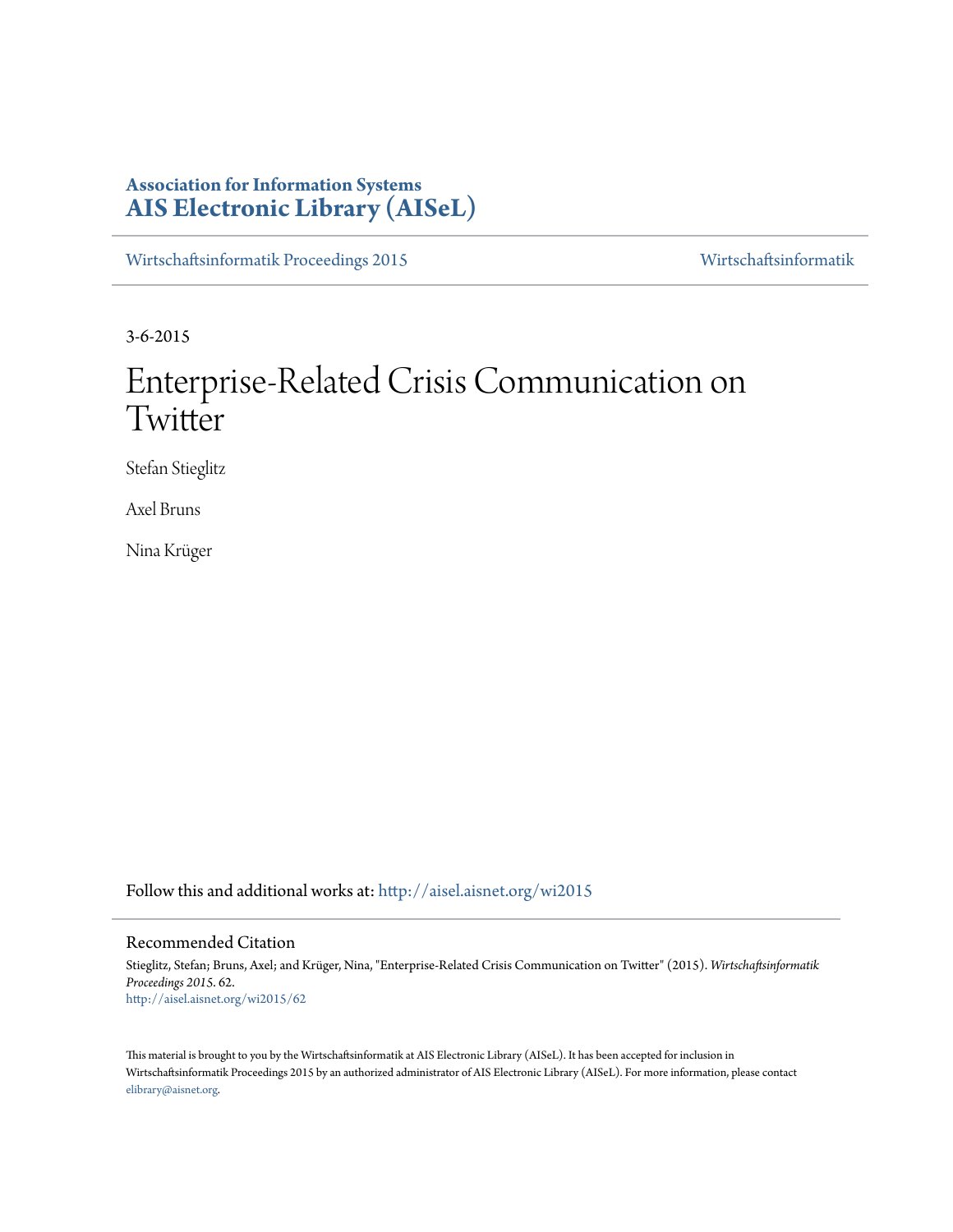# **Association for Information Systems [AIS Electronic Library \(AISeL\)](http://aisel.aisnet.org?utm_source=aisel.aisnet.org%2Fwi2015%2F62&utm_medium=PDF&utm_campaign=PDFCoverPages)**

[Wirtschaftsinformatik Proceedings 2015](http://aisel.aisnet.org/wi2015?utm_source=aisel.aisnet.org%2Fwi2015%2F62&utm_medium=PDF&utm_campaign=PDFCoverPages) [Wirtschaftsinformatik](http://aisel.aisnet.org/wi?utm_source=aisel.aisnet.org%2Fwi2015%2F62&utm_medium=PDF&utm_campaign=PDFCoverPages)

3-6-2015

# Enterprise-Related Crisis Communication on **Twitter**

Stefan Stieglitz

Axel Bruns

Nina Krüger

Follow this and additional works at: [http://aisel.aisnet.org/wi2015](http://aisel.aisnet.org/wi2015?utm_source=aisel.aisnet.org%2Fwi2015%2F62&utm_medium=PDF&utm_campaign=PDFCoverPages)

## Recommended Citation

Stieglitz, Stefan; Bruns, Axel; and Krüger, Nina, "Enterprise-Related Crisis Communication on Twitter" (2015). *Wirtschaftsinformatik Proceedings 2015*. 62. [http://aisel.aisnet.org/wi2015/62](http://aisel.aisnet.org/wi2015/62?utm_source=aisel.aisnet.org%2Fwi2015%2F62&utm_medium=PDF&utm_campaign=PDFCoverPages)

This material is brought to you by the Wirtschaftsinformatik at AIS Electronic Library (AISeL). It has been accepted for inclusion in Wirtschaftsinformatik Proceedings 2015 by an authorized administrator of AIS Electronic Library (AISeL). For more information, please contact [elibrary@aisnet.org.](mailto:elibrary@aisnet.org%3E)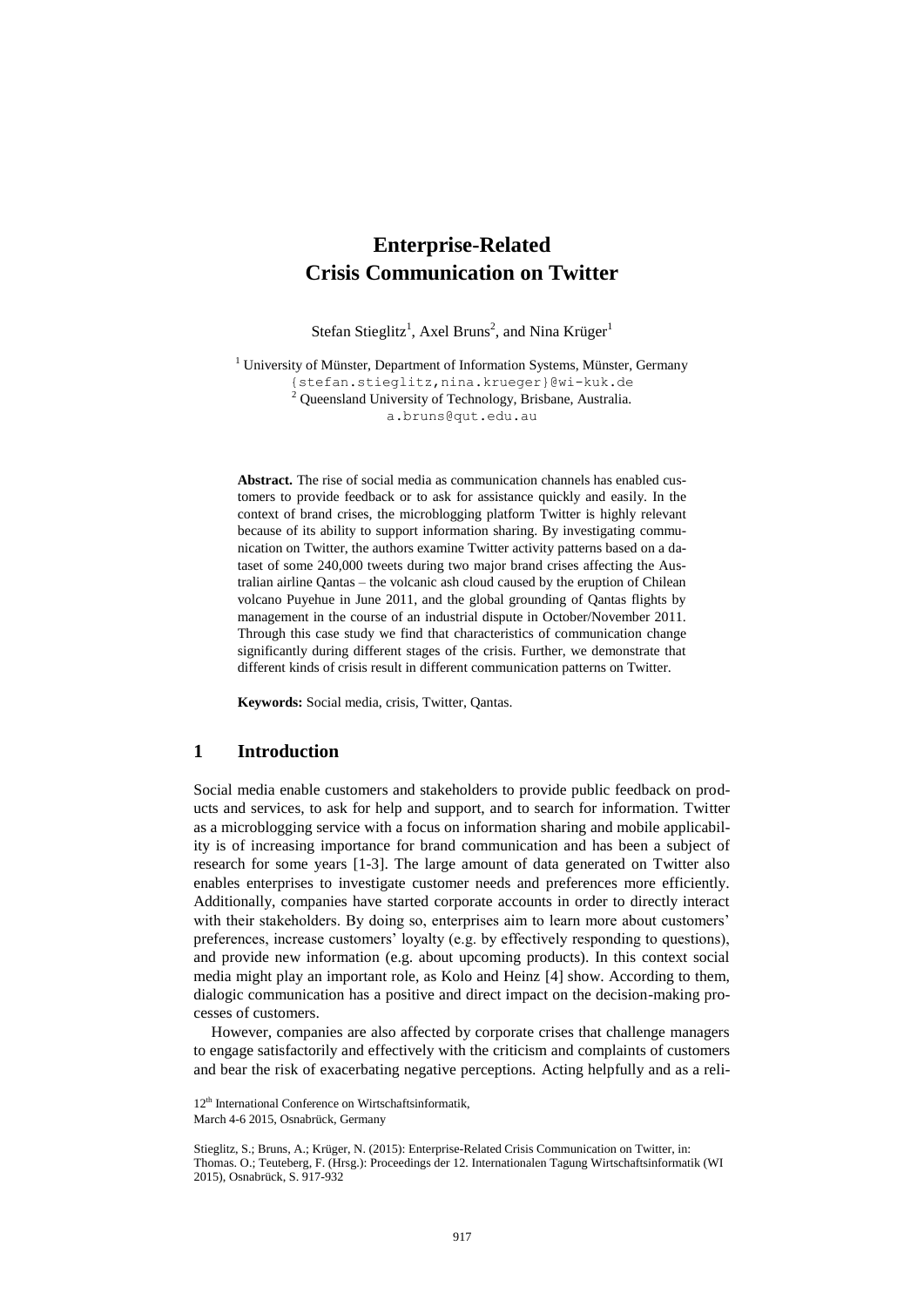# **Enterprise-Related Crisis Communication on Twitter**

Stefan Stieglitz<sup>1</sup>, Axel Bruns<sup>2</sup>, and Nina Krüger<sup>1</sup>

 $1$  University of Münster, Department of Information Systems, Münster, Germany {stefan.stieglitz,nina.krueger}@wi-kuk.de <sup>2</sup> Queensland University of Technology, Brisbane, Australia.

a.bruns@qut.edu.au

**Abstract.** The rise of social media as communication channels has enabled customers to provide feedback or to ask for assistance quickly and easily. In the context of brand crises, the microblogging platform Twitter is highly relevant because of its ability to support information sharing. By investigating communication on Twitter, the authors examine Twitter activity patterns based on a dataset of some 240,000 tweets during two major brand crises affecting the Australian airline Qantas – the volcanic ash cloud caused by the eruption of Chilean volcano Puyehue in June 2011, and the global grounding of Qantas flights by management in the course of an industrial dispute in October/November 2011. Through this case study we find that characteristics of communication change significantly during different stages of the crisis. Further, we demonstrate that different kinds of crisis result in different communication patterns on Twitter.

**Keywords:** Social media, crisis, Twitter, Qantas.

# **1 Introduction**

Social media enable customers and stakeholders to provide public feedback on products and services, to ask for help and support, and to search for information. Twitter as a microblogging service with a focus on information sharing and mobile applicability is of increasing importance for brand communication and has been a subject of research for some years [1-3]. The large amount of data generated on Twitter also enables enterprises to investigate customer needs and preferences more efficiently. Additionally, companies have started corporate accounts in order to directly interact with their stakeholders. By doing so, enterprises aim to learn more about customers' preferences, increase customers' loyalty (e.g. by effectively responding to questions), and provide new information (e.g. about upcoming products). In this context social media might play an important role, as Kolo and Heinz [4] show. According to them, dialogic communication has a positive and direct impact on the decision-making processes of customers.

However, companies are also affected by corporate crises that challenge managers to engage satisfactorily and effectively with the criticism and complaints of customers and bear the risk of exacerbating negative perceptions. Acting helpfully and as a reli-

<sup>12&</sup>lt;sup>th</sup> International Conference on Wirtschaftsinformatik. March 4-6 2015, Osnabrück, Germany

Stieglitz, S.; Bruns, A.; Krüger, N. (2015): Enterprise-Related Crisis Communication on Twitter, in: Thomas. O.; Teuteberg, F. (Hrsg.): Proceedings der 12. Internationalen Tagung Wirtschaftsinformatik (WI 2015), Osnabrück, S. 917-932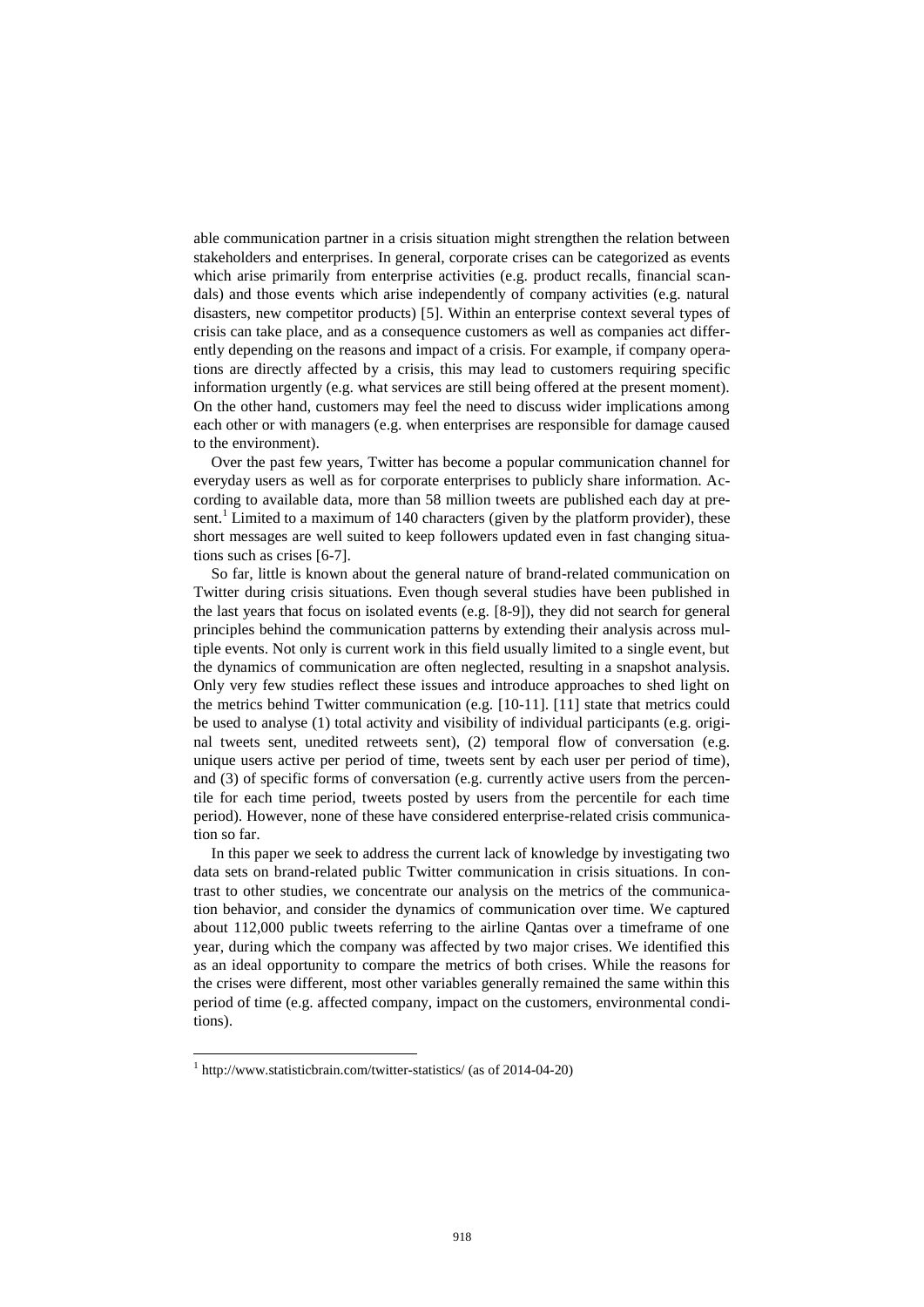able communication partner in a crisis situation might strengthen the relation between stakeholders and enterprises. In general, corporate crises can be categorized as events which arise primarily from enterprise activities (e.g. product recalls, financial scandals) and those events which arise independently of company activities (e.g. natural disasters, new competitor products) [5]. Within an enterprise context several types of crisis can take place, and as a consequence customers as well as companies act differently depending on the reasons and impact of a crisis. For example, if company operations are directly affected by a crisis, this may lead to customers requiring specific information urgently (e.g. what services are still being offered at the present moment). On the other hand, customers may feel the need to discuss wider implications among each other or with managers (e.g. when enterprises are responsible for damage caused to the environment).

Over the past few years, Twitter has become a popular communication channel for everyday users as well as for corporate enterprises to publicly share information. According to available data, more than 58 million tweets are published each day at present.<sup>1</sup> Limited to a maximum of 140 characters (given by the platform provider), these short messages are well suited to keep followers updated even in fast changing situations such as crises [6-7].

So far, little is known about the general nature of brand-related communication on Twitter during crisis situations. Even though several studies have been published in the last years that focus on isolated events (e.g. [8-9]), they did not search for general principles behind the communication patterns by extending their analysis across multiple events. Not only is current work in this field usually limited to a single event, but the dynamics of communication are often neglected, resulting in a snapshot analysis. Only very few studies reflect these issues and introduce approaches to shed light on the metrics behind Twitter communication (e.g. [10-11]. [11] state that metrics could be used to analyse (1) total activity and visibility of individual participants (e.g. original tweets sent, unedited retweets sent), (2) temporal flow of conversation (e.g. unique users active per period of time, tweets sent by each user per period of time), and (3) of specific forms of conversation (e.g. currently active users from the percentile for each time period, tweets posted by users from the percentile for each time period). However, none of these have considered enterprise-related crisis communication so far.

In this paper we seek to address the current lack of knowledge by investigating two data sets on brand-related public Twitter communication in crisis situations. In contrast to other studies, we concentrate our analysis on the metrics of the communication behavior, and consider the dynamics of communication over time. We captured about 112,000 public tweets referring to the airline Qantas over a timeframe of one year, during which the company was affected by two major crises. We identified this as an ideal opportunity to compare the metrics of both crises. While the reasons for the crises were different, most other variables generally remained the same within this period of time (e.g. affected company, impact on the customers, environmental conditions).

-

<sup>1</sup> http://www.statisticbrain.com/twitter-statistics/ (as of 2014-04-20)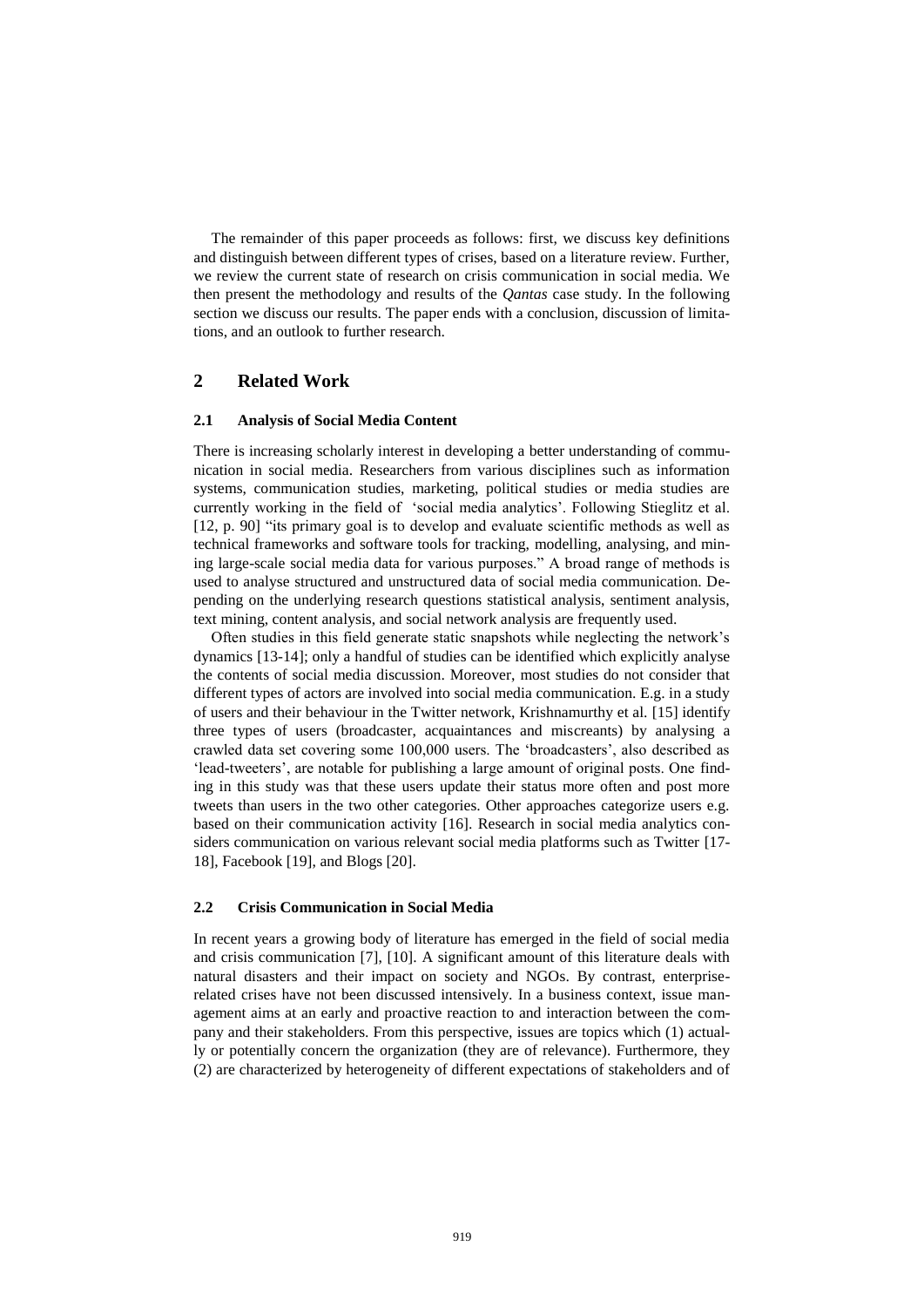The remainder of this paper proceeds as follows: first, we discuss key definitions and distinguish between different types of crises, based on a literature review. Further, we review the current state of research on crisis communication in social media. We then present the methodology and results of the *Qantas* case study. In the following section we discuss our results. The paper ends with a conclusion, discussion of limitations, and an outlook to further research.

# **2 Related Work**

#### **2.1 Analysis of Social Media Content**

There is increasing scholarly interest in developing a better understanding of communication in social media. Researchers from various disciplines such as information systems, communication studies, marketing, political studies or media studies are currently working in the field of 'social media analytics'. Following Stieglitz et al. [12, p. 90] "its primary goal is to develop and evaluate scientific methods as well as technical frameworks and software tools for tracking, modelling, analysing, and mining large-scale social media data for various purposes." A broad range of methods is used to analyse structured and unstructured data of social media communication. Depending on the underlying research questions statistical analysis, sentiment analysis, text mining, content analysis, and social network analysis are frequently used.

Often studies in this field generate static snapshots while neglecting the network's dynamics [13-14]; only a handful of studies can be identified which explicitly analyse the contents of social media discussion. Moreover, most studies do not consider that different types of actors are involved into social media communication. E.g. in a study of users and their behaviour in the Twitter network, Krishnamurthy et al. [15] identify three types of users (broadcaster, acquaintances and miscreants) by analysing a crawled data set covering some 100,000 users. The 'broadcasters', also described as 'lead-tweeters', are notable for publishing a large amount of original posts. One finding in this study was that these users update their status more often and post more tweets than users in the two other categories. Other approaches categorize users e.g. based on their communication activity [16]. Research in social media analytics considers communication on various relevant social media platforms such as Twitter [17- 18], Facebook [19], and Blogs [20].

### **2.2 Crisis Communication in Social Media**

In recent years a growing body of literature has emerged in the field of social media and crisis communication [7], [10]. A significant amount of this literature deals with natural disasters and their impact on society and NGOs. By contrast, enterpriserelated crises have not been discussed intensively. In a business context, issue management aims at an early and proactive reaction to and interaction between the company and their stakeholders. From this perspective, issues are topics which (1) actually or potentially concern the organization (they are of relevance). Furthermore, they (2) are characterized by heterogeneity of different expectations of stakeholders and of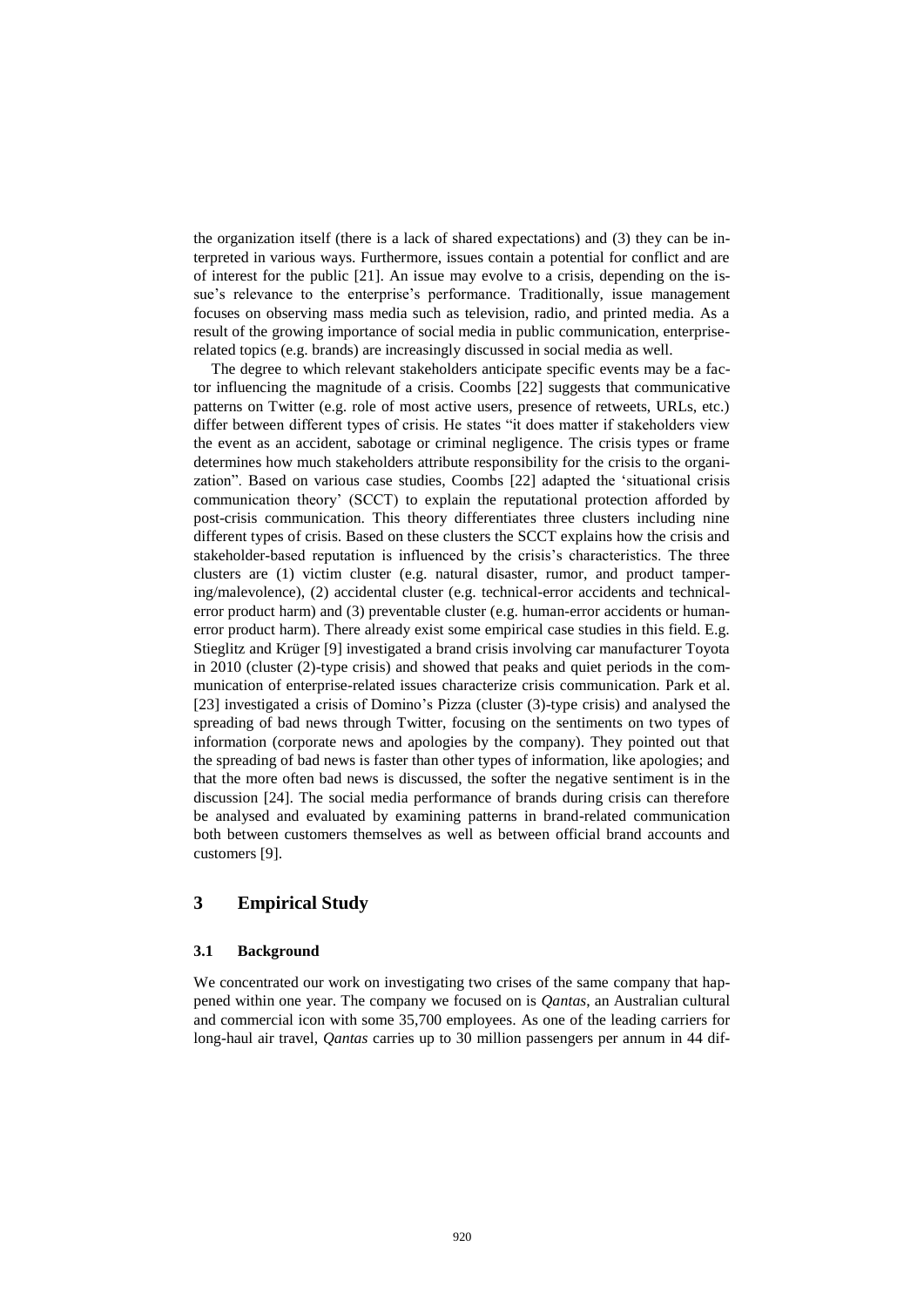the organization itself (there is a lack of shared expectations) and (3) they can be interpreted in various ways. Furthermore, issues contain a potential for conflict and are of interest for the public [21]. An issue may evolve to a crisis, depending on the issue's relevance to the enterprise's performance. Traditionally, issue management focuses on observing mass media such as television, radio, and printed media. As a result of the growing importance of social media in public communication, enterpriserelated topics (e.g. brands) are increasingly discussed in social media as well.

The degree to which relevant stakeholders anticipate specific events may be a factor influencing the magnitude of a crisis. Coombs [22] suggests that communicative patterns on Twitter (e.g. role of most active users, presence of retweets, URLs, etc.) differ between different types of crisis. He states "it does matter if stakeholders view the event as an accident, sabotage or criminal negligence. The crisis types or frame determines how much stakeholders attribute responsibility for the crisis to the organization". Based on various case studies, Coombs [22] adapted the 'situational crisis communication theory' (SCCT) to explain the reputational protection afforded by post-crisis communication. This theory differentiates three clusters including nine different types of crisis. Based on these clusters the SCCT explains how the crisis and stakeholder-based reputation is influenced by the crisis's characteristics. The three clusters are (1) victim cluster (e.g. natural disaster, rumor, and product tampering/malevolence), (2) accidental cluster (e.g. technical-error accidents and technicalerror product harm) and (3) preventable cluster (e.g. human-error accidents or humanerror product harm). There already exist some empirical case studies in this field. E.g. Stieglitz and Krüger [9] investigated a brand crisis involving car manufacturer Toyota in 2010 (cluster (2)-type crisis) and showed that peaks and quiet periods in the communication of enterprise-related issues characterize crisis communication. Park et al. [23] investigated a crisis of Domino's Pizza (cluster (3)-type crisis) and analysed the spreading of bad news through Twitter, focusing on the sentiments on two types of information (corporate news and apologies by the company). They pointed out that the spreading of bad news is faster than other types of information, like apologies; and that the more often bad news is discussed, the softer the negative sentiment is in the discussion [24]. The social media performance of brands during crisis can therefore be analysed and evaluated by examining patterns in brand-related communication both between customers themselves as well as between official brand accounts and customers [9].

# **3 Empirical Study**

#### **3.1 Background**

We concentrated our work on investigating two crises of the same company that happened within one year. The company we focused on is *Qantas*, an Australian cultural and commercial icon with some 35,700 employees. As one of the leading carriers for long-haul air travel, *Qantas* carries up to 30 million passengers per annum in 44 dif-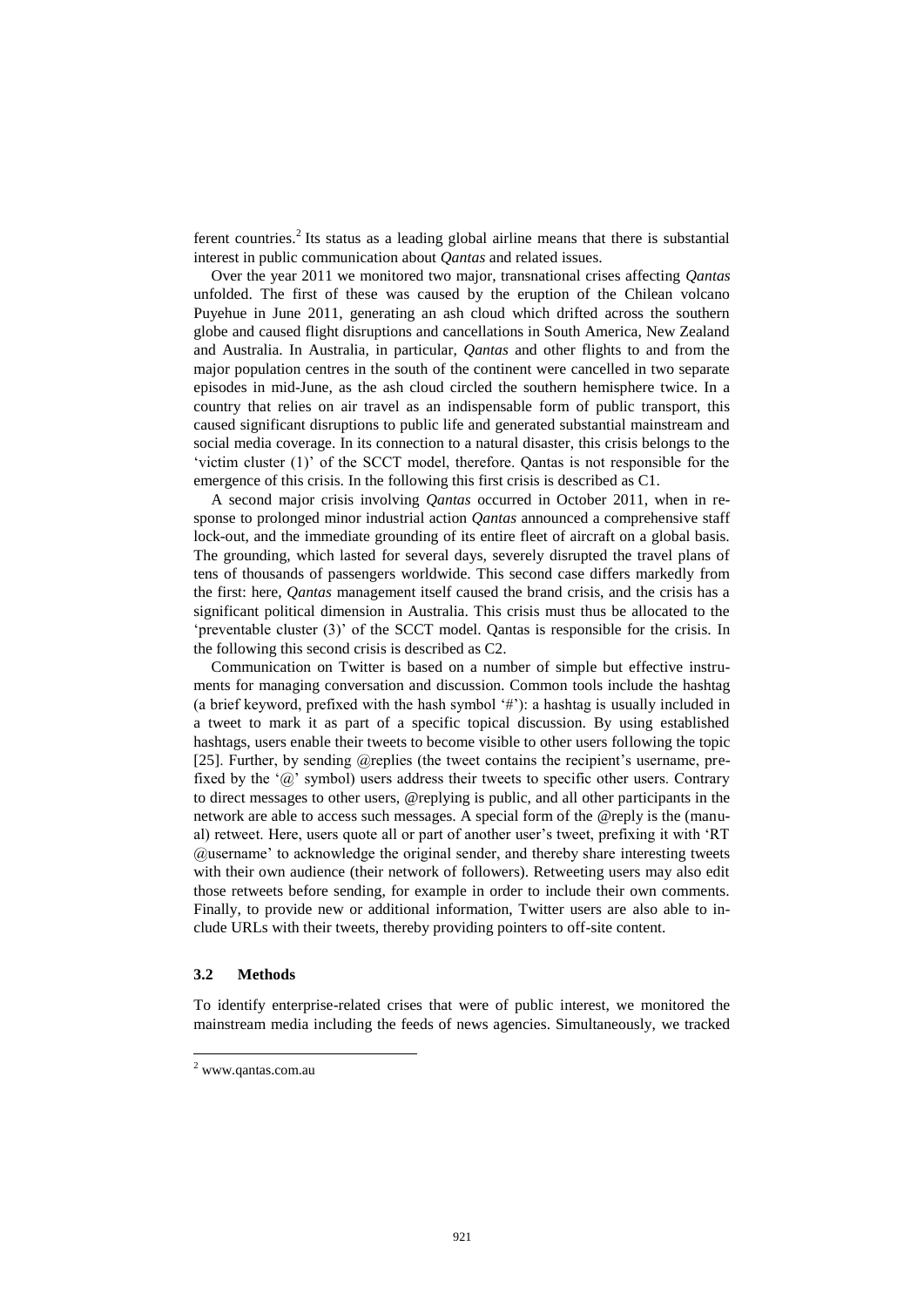ferent countries.<sup>2</sup> Its status as a leading global airline means that there is substantial interest in public communication about *Qantas* and related issues.

Over the year 2011 we monitored two major, transnational crises affecting *Qantas* unfolded. The first of these was caused by the eruption of the Chilean volcano Puyehue in June 2011, generating an ash cloud which drifted across the southern globe and caused flight disruptions and cancellations in South America, New Zealand and Australia. In Australia, in particular, *Qantas* and other flights to and from the major population centres in the south of the continent were cancelled in two separate episodes in mid-June, as the ash cloud circled the southern hemisphere twice. In a country that relies on air travel as an indispensable form of public transport, this caused significant disruptions to public life and generated substantial mainstream and social media coverage. In its connection to a natural disaster, this crisis belongs to the 'victim cluster (1)' of the SCCT model, therefore. Qantas is not responsible for the emergence of this crisis. In the following this first crisis is described as C1.

A second major crisis involving *Qantas* occurred in October 2011, when in response to prolonged minor industrial action *Qantas* announced a comprehensive staff lock-out, and the immediate grounding of its entire fleet of aircraft on a global basis. The grounding, which lasted for several days, severely disrupted the travel plans of tens of thousands of passengers worldwide. This second case differs markedly from the first: here, *Qantas* management itself caused the brand crisis, and the crisis has a significant political dimension in Australia. This crisis must thus be allocated to the 'preventable cluster (3)' of the SCCT model. Qantas is responsible for the crisis. In the following this second crisis is described as C2.

Communication on Twitter is based on a number of simple but effective instruments for managing conversation and discussion. Common tools include the hashtag (a brief keyword, prefixed with the hash symbol '#'): a hashtag is usually included in a tweet to mark it as part of a specific topical discussion. By using established hashtags, users enable their tweets to become visible to other users following the topic [25]. Further, by sending @replies (the tweet contains the recipient's username, prefixed by the ' $\omega$ ' symbol) users address their tweets to specific other users. Contrary to direct messages to other users, @replying is public, and all other participants in the network are able to access such messages. A special form of the @reply is the (manual) retweet. Here, users quote all or part of another user's tweet, prefixing it with 'RT @username' to acknowledge the original sender, and thereby share interesting tweets with their own audience (their network of followers). Retweeting users may also edit those retweets before sending, for example in order to include their own comments. Finally, to provide new or additional information, Twitter users are also able to include URLs with their tweets, thereby providing pointers to off-site content.

### **3.2 Methods**

-

To identify enterprise-related crises that were of public interest, we monitored the mainstream media including the feeds of news agencies. Simultaneously, we tracked

<sup>2</sup> www.qantas.com.au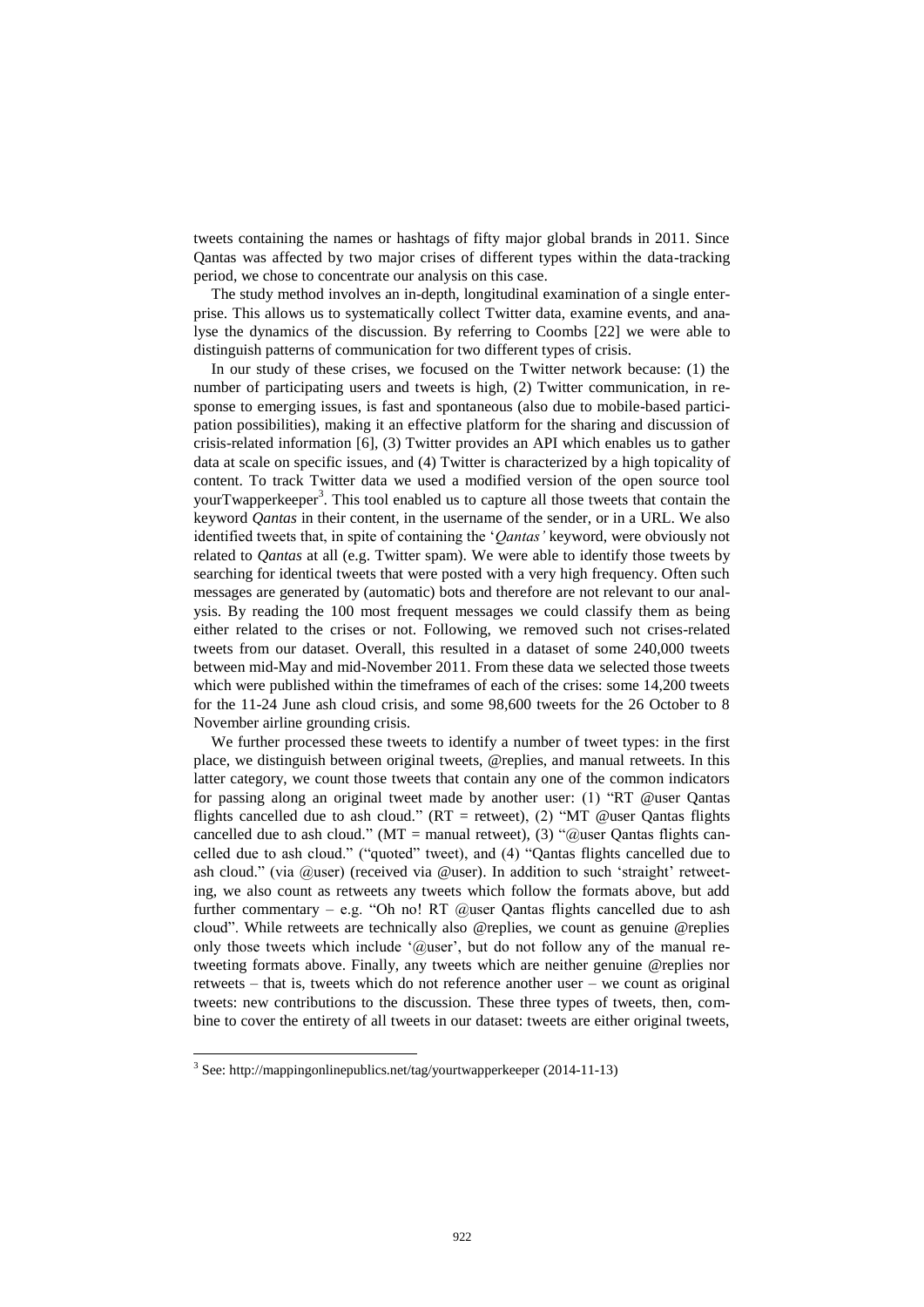tweets containing the names or hashtags of fifty major global brands in 2011. Since Qantas was affected by two major crises of different types within the data-tracking period, we chose to concentrate our analysis on this case.

The study method involves an in-depth, longitudinal examination of a single enterprise. This allows us to systematically collect Twitter data, examine events, and analyse the dynamics of the discussion. By referring to Coombs [22] we were able to distinguish patterns of communication for two different types of crisis.

In our study of these crises, we focused on the Twitter network because: (1) the number of participating users and tweets is high, (2) Twitter communication, in response to emerging issues, is fast and spontaneous (also due to mobile-based participation possibilities), making it an effective platform for the sharing and discussion of crisis-related information [6], (3) Twitter provides an API which enables us to gather data at scale on specific issues, and (4) Twitter is characterized by a high topicality of content. To track Twitter data we used a modified version of the open source tool yourTwapperkeeper<sup>3</sup>. This tool enabled us to capture all those tweets that contain the keyword *Qantas* in their content, in the username of the sender, or in a URL. We also identified tweets that, in spite of containing the '*Qantas'* keyword, were obviously not related to *Qantas* at all (e.g. Twitter spam). We were able to identify those tweets by searching for identical tweets that were posted with a very high frequency. Often such messages are generated by (automatic) bots and therefore are not relevant to our analysis. By reading the 100 most frequent messages we could classify them as being either related to the crises or not. Following, we removed such not crises-related tweets from our dataset. Overall, this resulted in a dataset of some 240,000 tweets between mid-May and mid-November 2011. From these data we selected those tweets which were published within the timeframes of each of the crises: some 14,200 tweets for the 11-24 June ash cloud crisis, and some 98,600 tweets for the 26 October to 8 November airline grounding crisis.

We further processed these tweets to identify a number of tweet types: in the first place, we distinguish between original tweets, @replies, and manual retweets. In this latter category, we count those tweets that contain any one of the common indicators for passing along an original tweet made by another user: (1) "RT @user Qantas flights cancelled due to ash cloud." (RT = retweet), (2) "MT @user Qantas flights cancelled due to ash cloud." (MT = manual retweet), (3) "@user Qantas flights cancelled due to ash cloud." ("quoted" tweet), and (4) "Qantas flights cancelled due to ash cloud." (via @user) (received via @user). In addition to such 'straight' retweeting, we also count as retweets any tweets which follow the formats above, but add further commentary – e.g. "Oh no! RT  $@$ user Qantas flights cancelled due to ash cloud". While retweets are technically also @replies, we count as genuine @replies only those tweets which include '@user', but do not follow any of the manual retweeting formats above. Finally, any tweets which are neither genuine @replies nor retweets – that is, tweets which do not reference another user – we count as original tweets: new contributions to the discussion. These three types of tweets, then, combine to cover the entirety of all tweets in our dataset: tweets are either original tweets,

-

<sup>&</sup>lt;sup>3</sup> See: [http://mappingonlinepublics.net/tag/yourtwapperkeeper](http://mappingonlinepublics.net/tag/yourtwapperkeeper/) (2014-11-13)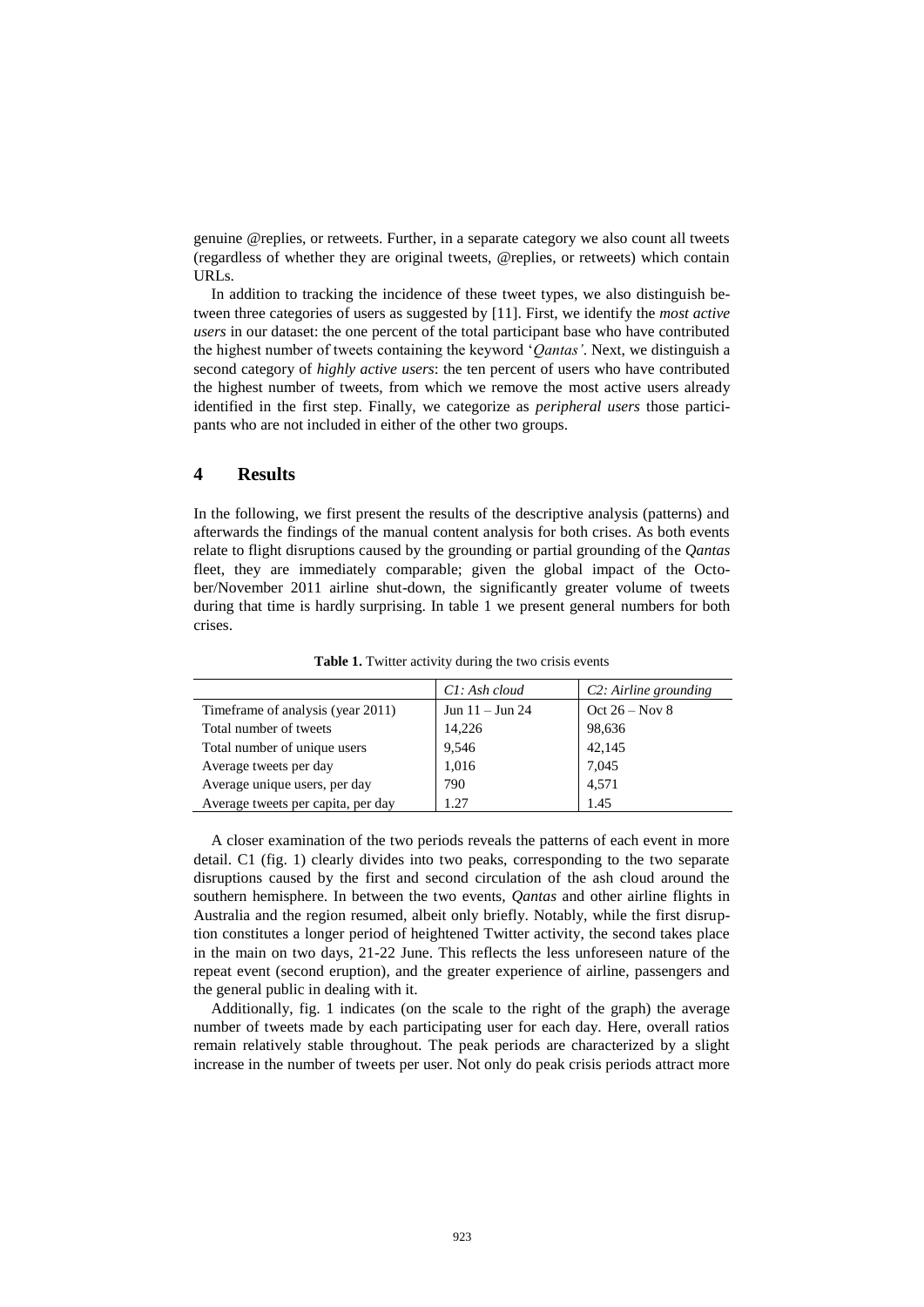genuine @replies, or retweets. Further, in a separate category we also count all tweets (regardless of whether they are original tweets, @replies, or retweets) which contain URLs.

In addition to tracking the incidence of these tweet types, we also distinguish between three categories of users as suggested by [11]. First, we identify the *most active users* in our dataset: the one percent of the total participant base who have contributed the highest number of tweets containing the keyword '*Qantas'*. Next, we distinguish a second category of *highly active users*: the ten percent of users who have contributed the highest number of tweets, from which we remove the most active users already identified in the first step. Finally, we categorize as *peripheral users* those participants who are not included in either of the other two groups.

# **4 Results**

In the following, we first present the results of the descriptive analysis (patterns) and afterwards the findings of the manual content analysis for both crises. As both events relate to flight disruptions caused by the grounding or partial grounding of the *Qantas* fleet, they are immediately comparable; given the global impact of the October/November 2011 airline shut-down, the significantly greater volume of tweets during that time is hardly surprising. In table 1 we present general numbers for both crises.

|                                    | Cl: Ash cloud     | C2: Airline grounding |
|------------------------------------|-------------------|-----------------------|
| Time frame of analysis (year 2011) | Jun $11 -$ Jun 24 | Oct $26 - Nov 8$      |
| Total number of tweets             | 14,226            | 98,636                |
| Total number of unique users       | 9,546             | 42,145                |
| Average tweets per day             | 1,016             | 7,045                 |
| Average unique users, per day      | 790               | 4,571                 |
| Average tweets per capita, per day | 1.27              | 1.45                  |

**Table 1.** Twitter activity during the two crisis events

A closer examination of the two periods reveals the patterns of each event in more detail. C1 (fig. 1) clearly divides into two peaks, corresponding to the two separate disruptions caused by the first and second circulation of the ash cloud around the southern hemisphere. In between the two events, *Qantas* and other airline flights in Australia and the region resumed, albeit only briefly. Notably, while the first disruption constitutes a longer period of heightened Twitter activity, the second takes place in the main on two days, 21-22 June. This reflects the less unforeseen nature of the repeat event (second eruption), and the greater experience of airline, passengers and the general public in dealing with it.

Additionally, fig. 1 indicates (on the scale to the right of the graph) the average number of tweets made by each participating user for each day. Here, overall ratios remain relatively stable throughout. The peak periods are characterized by a slight increase in the number of tweets per user. Not only do peak crisis periods attract more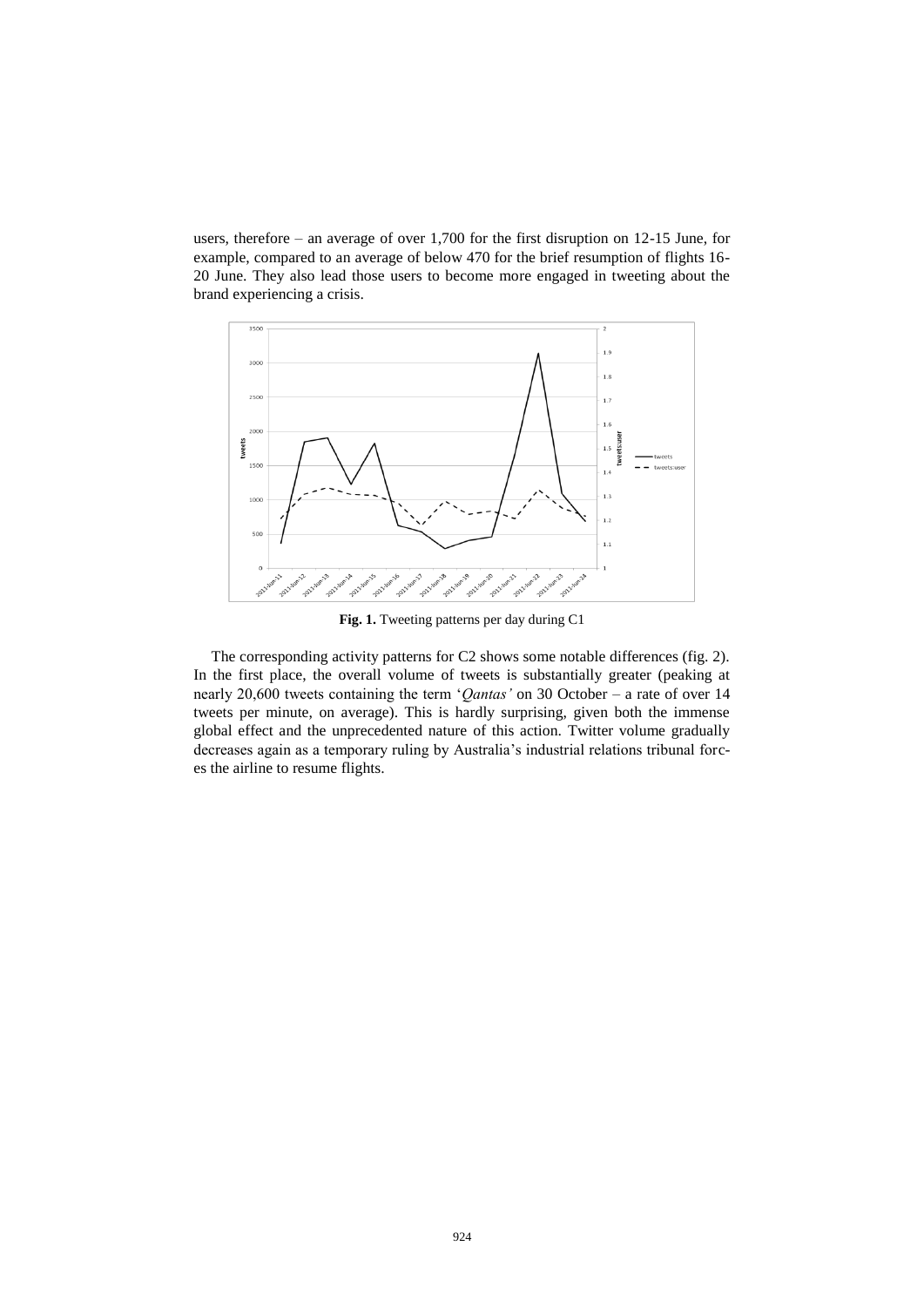users, therefore – an average of over 1,700 for the first disruption on 12-15 June, for example, compared to an average of below 470 for the brief resumption of flights 16- 20 June. They also lead those users to become more engaged in tweeting about the brand experiencing a crisis.



**Fig. 1.** Tweeting patterns per day during C1

The corresponding activity patterns for C2 shows some notable differences (fig. 2). In the first place, the overall volume of tweets is substantially greater (peaking at nearly 20,600 tweets containing the term '*Qantas'* on 30 October – a rate of over 14 tweets per minute, on average). This is hardly surprising, given both the immense global effect and the unprecedented nature of this action. Twitter volume gradually decreases again as a temporary ruling by Australia's industrial relations tribunal forces the airline to resume flights.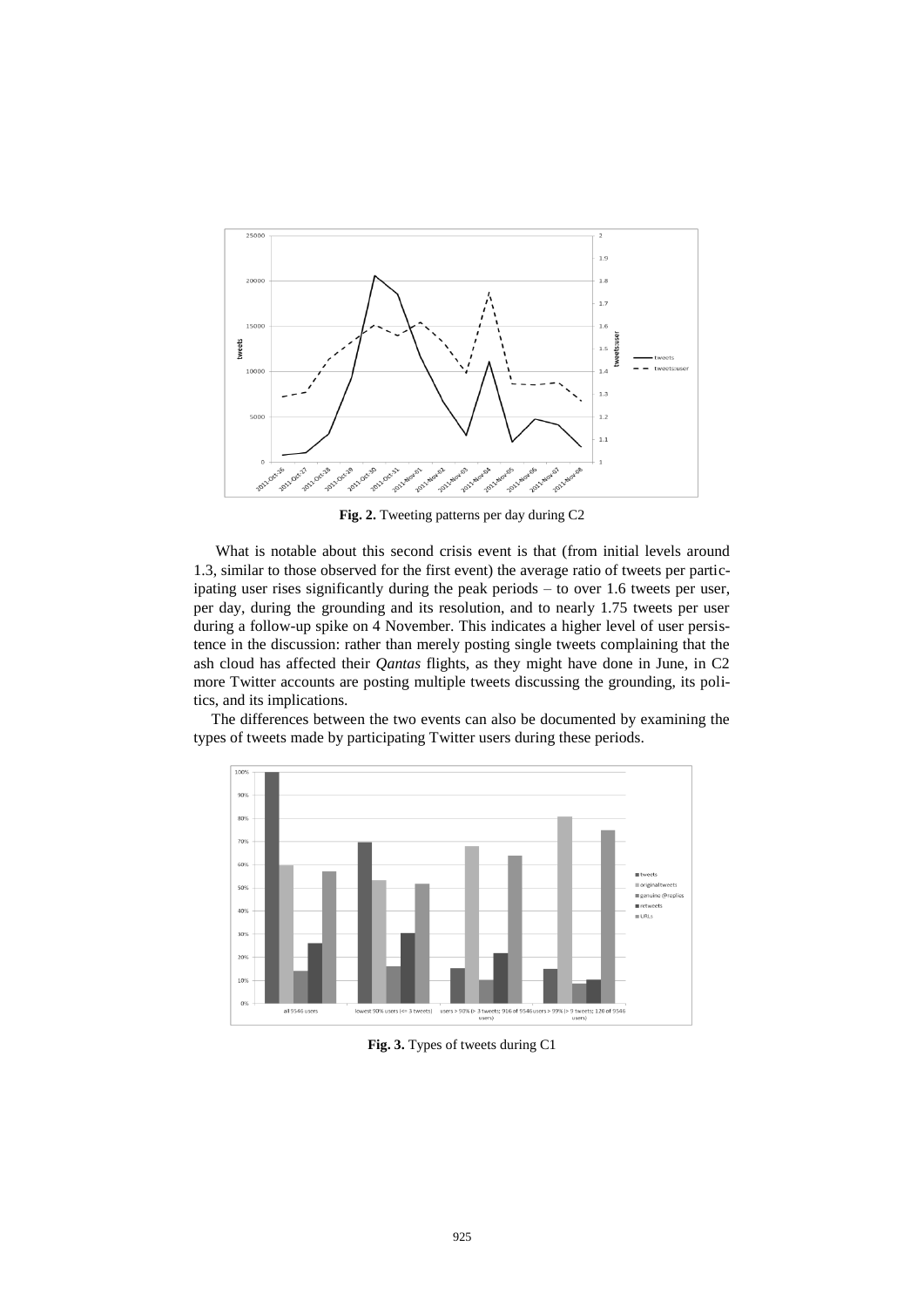

**Fig. 2.** Tweeting patterns per day during C2

What is notable about this second crisis event is that (from initial levels around 1.3, similar to those observed for the first event) the average ratio of tweets per participating user rises significantly during the peak periods – to over 1.6 tweets per user, per day, during the grounding and its resolution, and to nearly 1.75 tweets per user during a follow-up spike on 4 November. This indicates a higher level of user persistence in the discussion: rather than merely posting single tweets complaining that the ash cloud has affected their *Qantas* flights, as they might have done in June, in C2 more Twitter accounts are posting multiple tweets discussing the grounding, its politics, and its implications.



The differences between the two events can also be documented by examining the types of tweets made by participating Twitter users during these periods.

**Fig. 3.** Types of tweets during C1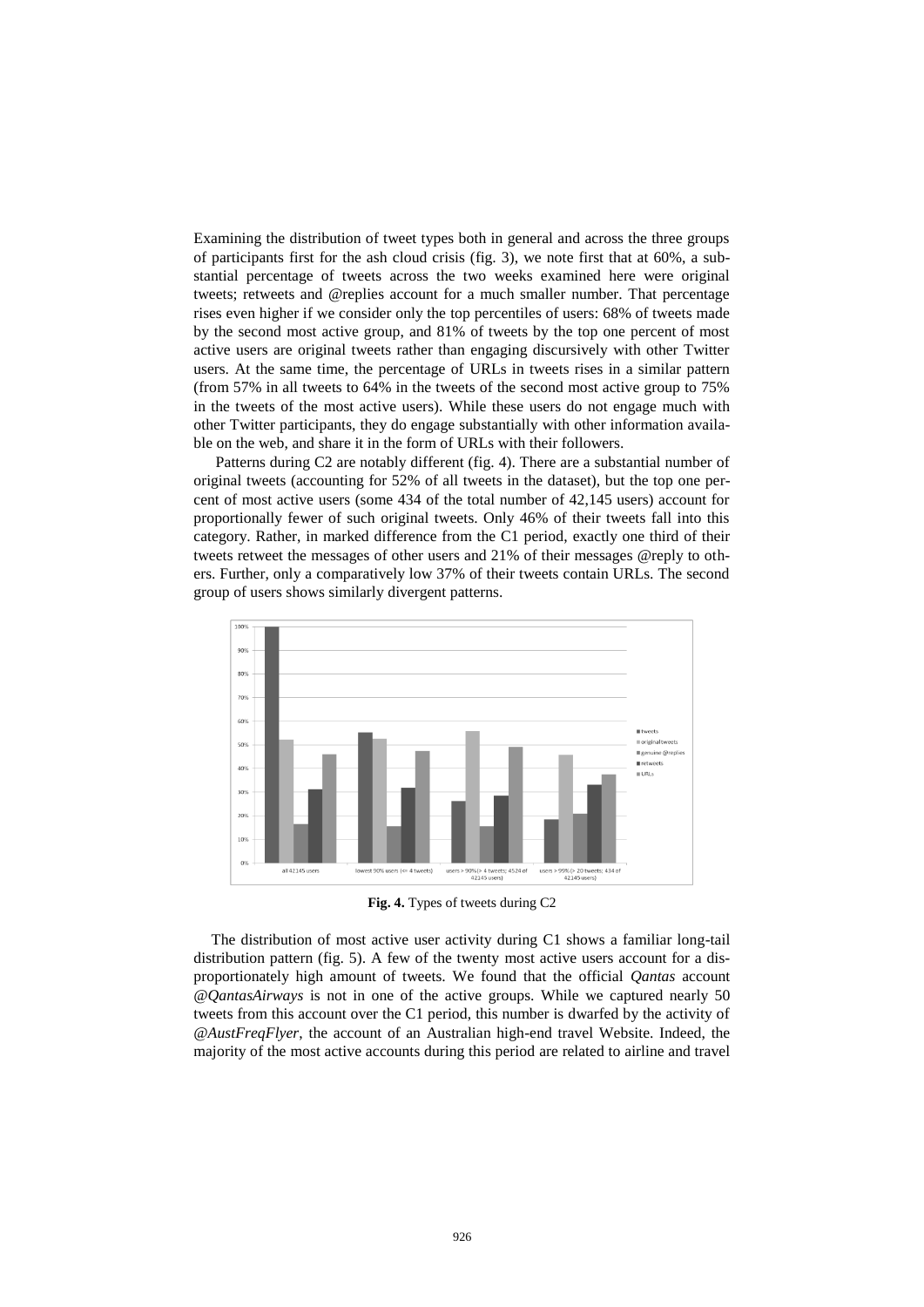Examining the distribution of tweet types both in general and across the three groups of participants first for the ash cloud crisis (fig. 3), we note first that at 60%, a substantial percentage of tweets across the two weeks examined here were original tweets; retweets and @replies account for a much smaller number. That percentage rises even higher if we consider only the top percentiles of users: 68% of tweets made by the second most active group, and 81% of tweets by the top one percent of most active users are original tweets rather than engaging discursively with other Twitter users. At the same time, the percentage of URLs in tweets rises in a similar pattern (from 57% in all tweets to 64% in the tweets of the second most active group to 75% in the tweets of the most active users). While these users do not engage much with other Twitter participants, they do engage substantially with other information available on the web, and share it in the form of URLs with their followers.

Patterns during C2 are notably different (fig. 4). There are a substantial number of original tweets (accounting for 52% of all tweets in the dataset), but the top one percent of most active users (some 434 of the total number of 42,145 users) account for proportionally fewer of such original tweets. Only 46% of their tweets fall into this category. Rather, in marked difference from the C1 period, exactly one third of their tweets retweet the messages of other users and 21% of their messages @reply to others. Further, only a comparatively low 37% of their tweets contain URLs. The second group of users shows similarly divergent patterns.



**Fig. 4.** Types of tweets during C2

The distribution of most active user activity during C1 shows a familiar long-tail distribution pattern (fig. 5). A few of the twenty most active users account for a disproportionately high amount of tweets. We found that the official *Qantas* account *@QantasAirways* is not in one of the active groups. While we captured nearly 50 tweets from this account over the C1 period, this number is dwarfed by the activity of *@AustFreqFlyer*, the account of an Australian high-end travel Website. Indeed, the majority of the most active accounts during this period are related to airline and travel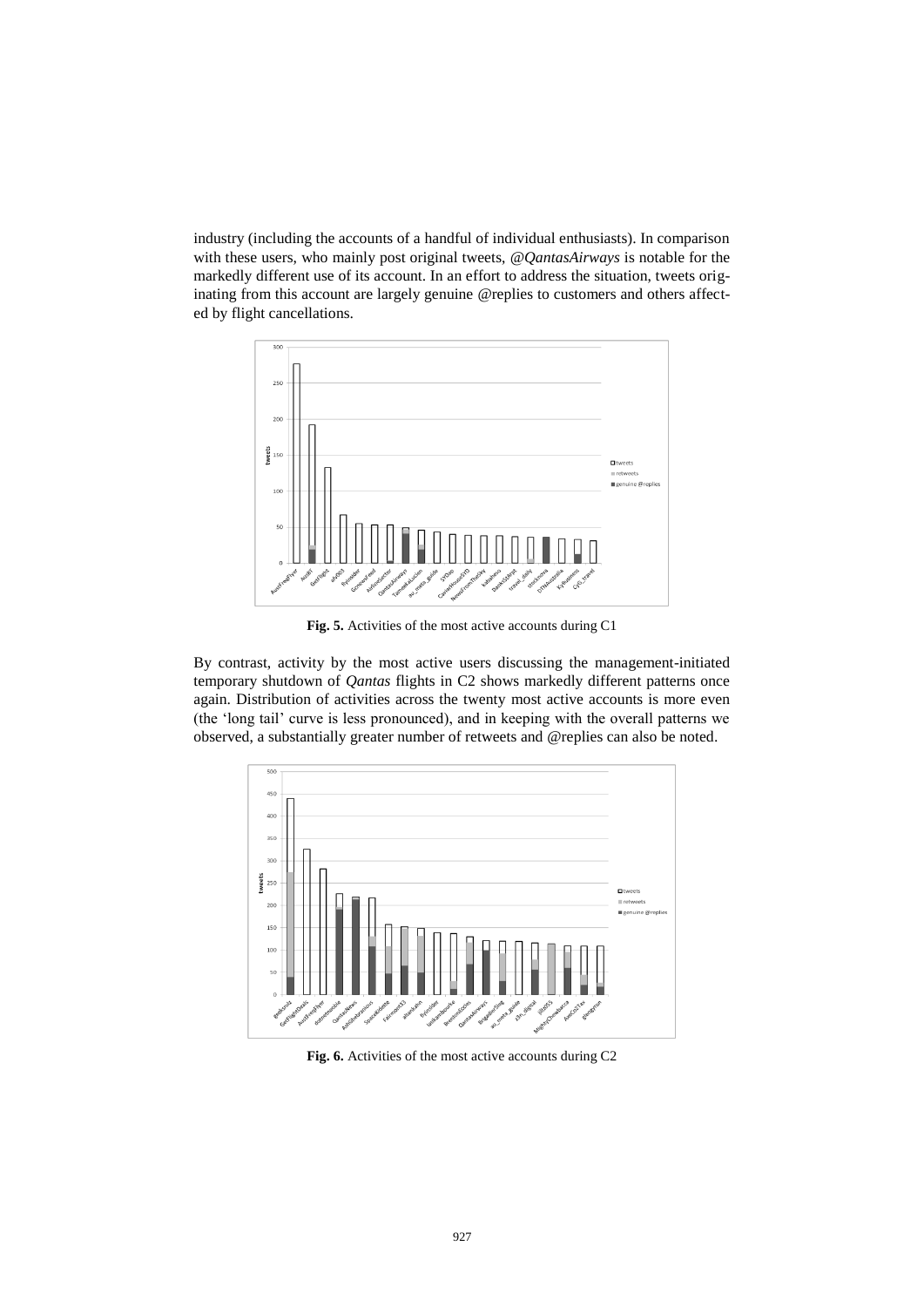industry (including the accounts of a handful of individual enthusiasts). In comparison with these users, who mainly post original tweets, *@QantasAirways* is notable for the markedly different use of its account. In an effort to address the situation, tweets originating from this account are largely genuine @replies to customers and others affected by flight cancellations.



**Fig. 5.** Activities of the most active accounts during C1

By contrast, activity by the most active users discussing the management-initiated temporary shutdown of *Qantas* flights in C2 shows markedly different patterns once again. Distribution of activities across the twenty most active accounts is more even (the 'long tail' curve is less pronounced), and in keeping with the overall patterns we observed, a substantially greater number of retweets and @replies can also be noted.



**Fig. 6.** Activities of the most active accounts during C2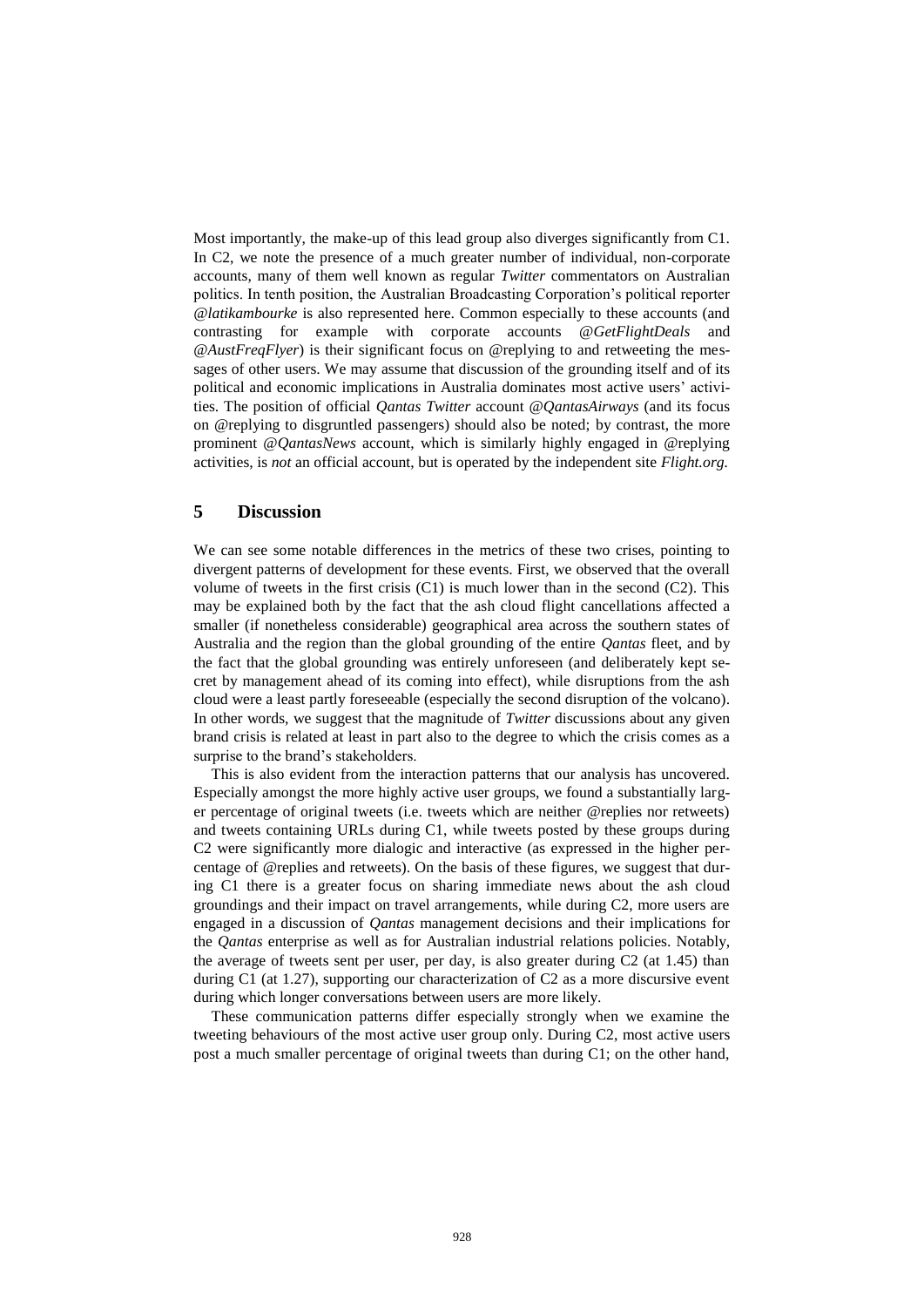Most importantly, the make-up of this lead group also diverges significantly from C1. In C2, we note the presence of a much greater number of individual, non-corporate accounts, many of them well known as regular *Twitter* commentators on Australian politics. In tenth position, the Australian Broadcasting Corporation's political reporter *@latikambourke* is also represented here. Common especially to these accounts (and contrasting for example with corporate accounts @*GetFlightDeals* and @*AustFreqFlyer*) is their significant focus on @replying to and retweeting the messages of other users. We may assume that discussion of the grounding itself and of its political and economic implications in Australia dominates most active users' activities. The position of official *Qantas Twitter* account @*QantasAirways* (and its focus on @replying to disgruntled passengers) should also be noted; by contrast, the more prominent @*QantasNews* account, which is similarly highly engaged in @replying activities, is *not* an official account, but is operated by the independent site *Flight.org.*

# **5 Discussion**

We can see some notable differences in the metrics of these two crises, pointing to divergent patterns of development for these events. First, we observed that the overall volume of tweets in the first crisis (C1) is much lower than in the second (C2). This may be explained both by the fact that the ash cloud flight cancellations affected a smaller (if nonetheless considerable) geographical area across the southern states of Australia and the region than the global grounding of the entire *Qantas* fleet, and by the fact that the global grounding was entirely unforeseen (and deliberately kept secret by management ahead of its coming into effect), while disruptions from the ash cloud were a least partly foreseeable (especially the second disruption of the volcano). In other words, we suggest that the magnitude of *Twitter* discussions about any given brand crisis is related at least in part also to the degree to which the crisis comes as a surprise to the brand's stakeholders.

This is also evident from the interaction patterns that our analysis has uncovered. Especially amongst the more highly active user groups, we found a substantially larger percentage of original tweets (i.e. tweets which are neither @replies nor retweets) and tweets containing URLs during C1, while tweets posted by these groups during C2 were significantly more dialogic and interactive (as expressed in the higher percentage of @replies and retweets). On the basis of these figures, we suggest that during C1 there is a greater focus on sharing immediate news about the ash cloud groundings and their impact on travel arrangements, while during C2, more users are engaged in a discussion of *Qantas* management decisions and their implications for the *Qantas* enterprise as well as for Australian industrial relations policies. Notably, the average of tweets sent per user, per day, is also greater during C2 (at 1.45) than during C1 (at 1.27), supporting our characterization of C2 as a more discursive event during which longer conversations between users are more likely.

These communication patterns differ especially strongly when we examine the tweeting behaviours of the most active user group only. During C2, most active users post a much smaller percentage of original tweets than during C1; on the other hand,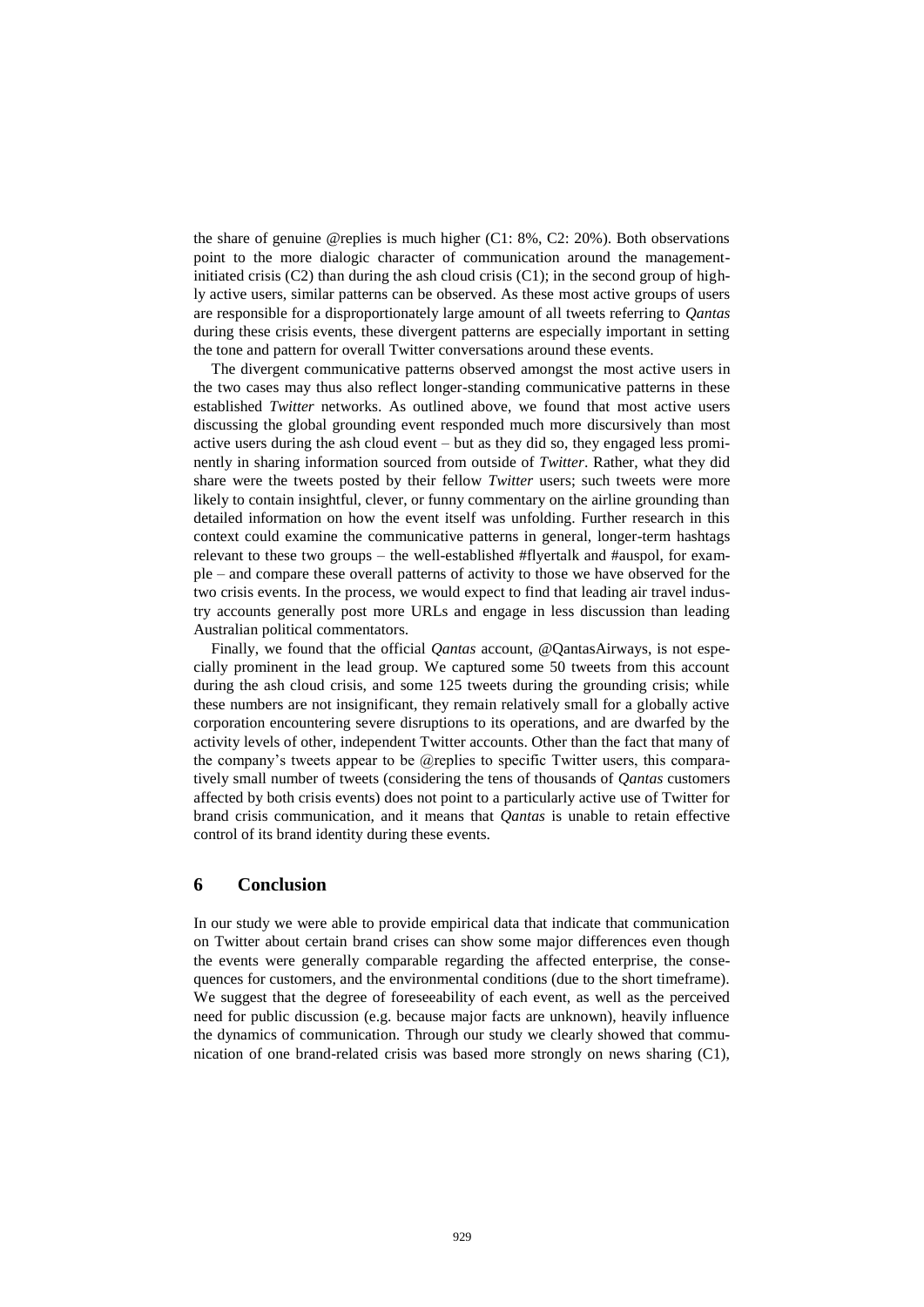the share of genuine @replies is much higher (C1: 8%, C2: 20%). Both observations point to the more dialogic character of communication around the managementinitiated crisis  $(C2)$  than during the ash cloud crisis  $(C1)$ ; in the second group of highly active users, similar patterns can be observed. As these most active groups of users are responsible for a disproportionately large amount of all tweets referring to *Qantas* during these crisis events, these divergent patterns are especially important in setting the tone and pattern for overall Twitter conversations around these events.

The divergent communicative patterns observed amongst the most active users in the two cases may thus also reflect longer-standing communicative patterns in these established *Twitter* networks. As outlined above, we found that most active users discussing the global grounding event responded much more discursively than most active users during the ash cloud event – but as they did so, they engaged less prominently in sharing information sourced from outside of *Twitter*. Rather, what they did share were the tweets posted by their fellow *Twitter* users; such tweets were more likely to contain insightful, clever, or funny commentary on the airline grounding than detailed information on how the event itself was unfolding. Further research in this context could examine the communicative patterns in general, longer-term hashtags relevant to these two groups – the well-established #flyertalk and #auspol, for example – and compare these overall patterns of activity to those we have observed for the two crisis events. In the process, we would expect to find that leading air travel industry accounts generally post more URLs and engage in less discussion than leading Australian political commentators.

Finally, we found that the official *Qantas* account, @QantasAirways, is not especially prominent in the lead group. We captured some 50 tweets from this account during the ash cloud crisis, and some 125 tweets during the grounding crisis; while these numbers are not insignificant, they remain relatively small for a globally active corporation encountering severe disruptions to its operations, and are dwarfed by the activity levels of other, independent Twitter accounts. Other than the fact that many of the company's tweets appear to be @replies to specific Twitter users, this comparatively small number of tweets (considering the tens of thousands of *Qantas* customers affected by both crisis events) does not point to a particularly active use of Twitter for brand crisis communication, and it means that *Qantas* is unable to retain effective control of its brand identity during these events.

# **6 Conclusion**

In our study we were able to provide empirical data that indicate that communication on Twitter about certain brand crises can show some major differences even though the events were generally comparable regarding the affected enterprise, the consequences for customers, and the environmental conditions (due to the short timeframe). We suggest that the degree of foreseeability of each event, as well as the perceived need for public discussion (e.g. because major facts are unknown), heavily influence the dynamics of communication. Through our study we clearly showed that communication of one brand-related crisis was based more strongly on news sharing (C1),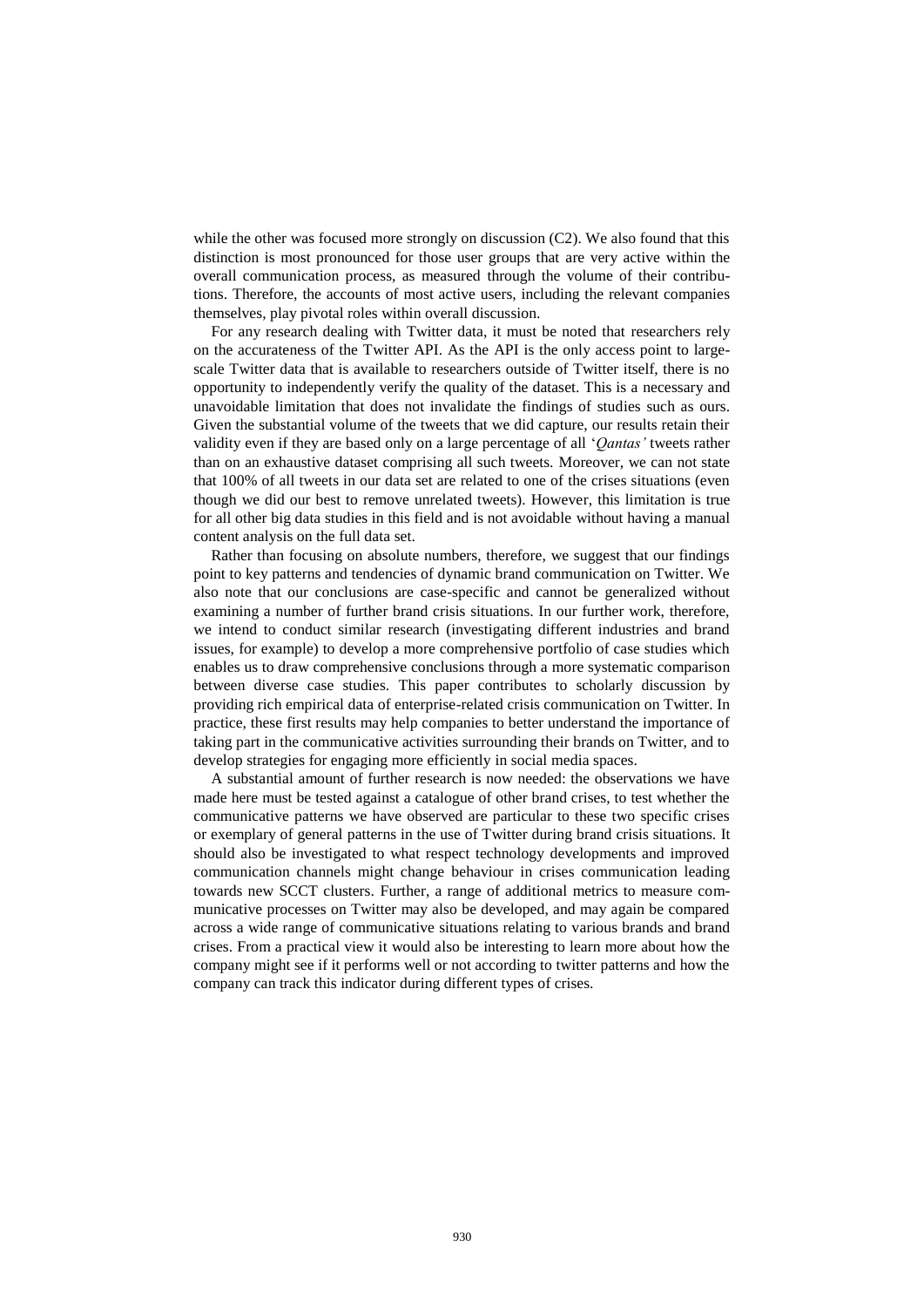while the other was focused more strongly on discussion (C2). We also found that this distinction is most pronounced for those user groups that are very active within the overall communication process, as measured through the volume of their contributions. Therefore, the accounts of most active users, including the relevant companies themselves, play pivotal roles within overall discussion.

For any research dealing with Twitter data, it must be noted that researchers rely on the accurateness of the Twitter API. As the API is the only access point to largescale Twitter data that is available to researchers outside of Twitter itself, there is no opportunity to independently verify the quality of the dataset. This is a necessary and unavoidable limitation that does not invalidate the findings of studies such as ours. Given the substantial volume of the tweets that we did capture, our results retain their validity even if they are based only on a large percentage of all '*Qantas'* tweets rather than on an exhaustive dataset comprising all such tweets. Moreover, we can not state that 100% of all tweets in our data set are related to one of the crises situations (even though we did our best to remove unrelated tweets). However, this limitation is true for all other big data studies in this field and is not avoidable without having a manual content analysis on the full data set.

Rather than focusing on absolute numbers, therefore, we suggest that our findings point to key patterns and tendencies of dynamic brand communication on Twitter. We also note that our conclusions are case-specific and cannot be generalized without examining a number of further brand crisis situations. In our further work, therefore, we intend to conduct similar research (investigating different industries and brand issues, for example) to develop a more comprehensive portfolio of case studies which enables us to draw comprehensive conclusions through a more systematic comparison between diverse case studies. This paper contributes to scholarly discussion by providing rich empirical data of enterprise-related crisis communication on Twitter. In practice, these first results may help companies to better understand the importance of taking part in the communicative activities surrounding their brands on Twitter, and to develop strategies for engaging more efficiently in social media spaces.

A substantial amount of further research is now needed: the observations we have made here must be tested against a catalogue of other brand crises, to test whether the communicative patterns we have observed are particular to these two specific crises or exemplary of general patterns in the use of Twitter during brand crisis situations. It should also be investigated to what respect technology developments and improved communication channels might change behaviour in crises communication leading towards new SCCT clusters. Further, a range of additional metrics to measure communicative processes on Twitter may also be developed, and may again be compared across a wide range of communicative situations relating to various brands and brand crises. From a practical view it would also be interesting to learn more about how the company might see if it performs well or not according to twitter patterns and how the company can track this indicator during different types of crises.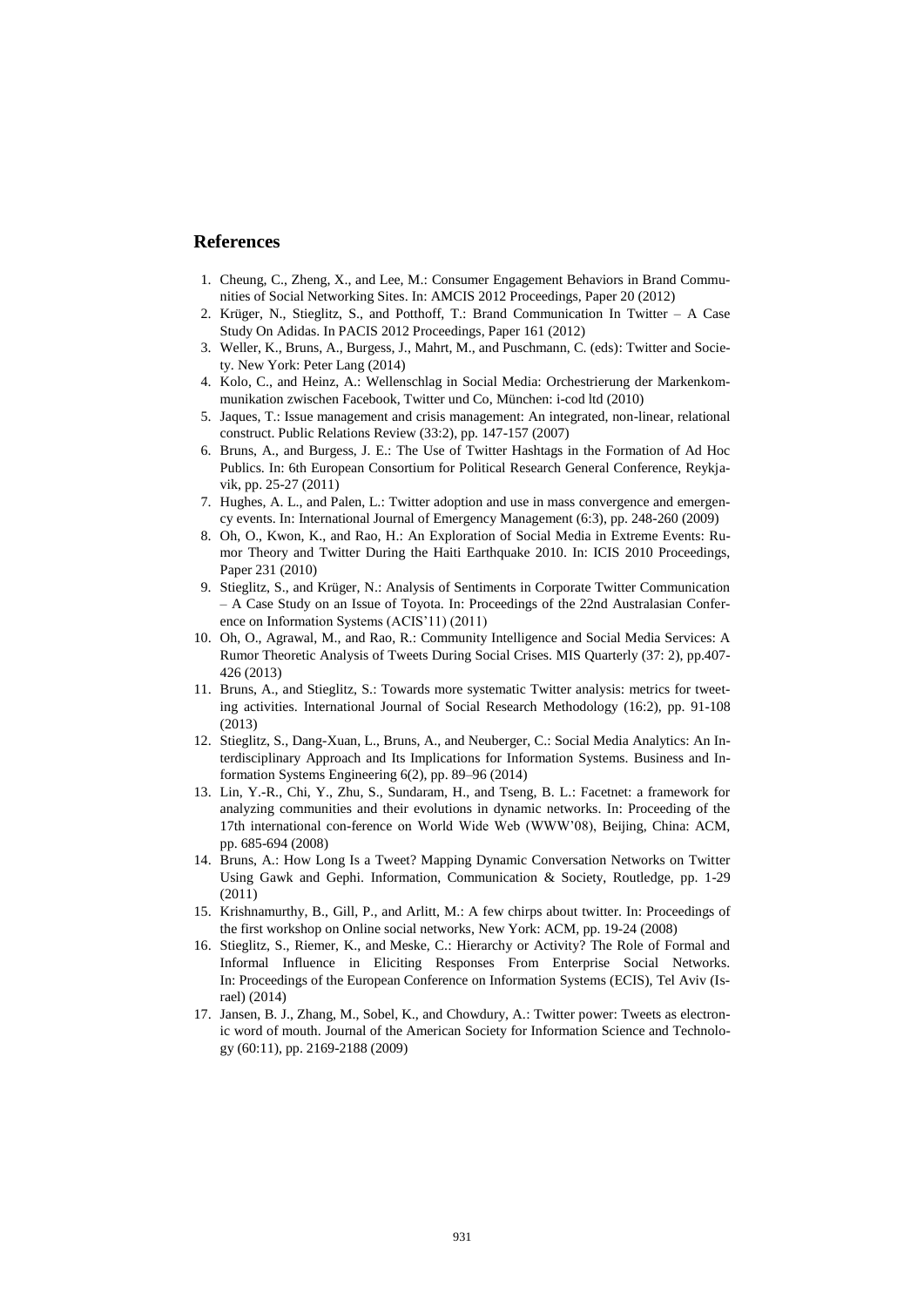# **References**

- 1. Cheung, C., Zheng, X., and Lee, M.: Consumer Engagement Behaviors in Brand Communities of Social Networking Sites. In: AMCIS 2012 Proceedings, Paper 20 (2012)
- 2. Krüger, N., Stieglitz, S., and Potthoff, T.: Brand Communication In Twitter A Case Study On Adidas. In PACIS 2012 Proceedings, Paper 161 (2012)
- 3. Weller, K., Bruns, A., Burgess, J., Mahrt, M., and Puschmann, C. (eds): Twitter and Society. New York: Peter Lang (2014)
- 4. Kolo, C., and Heinz, A.: Wellenschlag in Social Media: Orchestrierung der Markenkommunikation zwischen Facebook, Twitter und Co, München: i-cod ltd (2010)
- 5. Jaques, T.: Issue management and crisis management: An integrated, non-linear, relational construct. Public Relations Review (33:2), pp. 147-157 (2007)
- 6. Bruns, A., and Burgess, J. E.: The Use of Twitter Hashtags in the Formation of Ad Hoc Publics. In: 6th European Consortium for Political Research General Conference, Reykjavik, pp. 25-27 (2011)
- 7. Hughes, A. L., and Palen, L.: Twitter adoption and use in mass convergence and emergency events. In: International Journal of Emergency Management (6:3), pp. 248-260 (2009)
- 8. Oh, O., Kwon, K., and Rao, H.: An Exploration of Social Media in Extreme Events: Rumor Theory and Twitter During the Haiti Earthquake 2010. In: ICIS 2010 Proceedings, Paper 231 (2010)
- 9. Stieglitz, S., and Krüger, N.: Analysis of Sentiments in Corporate Twitter Communication – A Case Study on an Issue of Toyota. In: Proceedings of the 22nd Australasian Conference on Information Systems (ACIS'11) (2011)
- 10. Oh, O., Agrawal, M., and Rao, R.: Community Intelligence and Social Media Services: A Rumor Theoretic Analysis of Tweets During Social Crises. MIS Quarterly (37: 2), pp.407- 426 (2013)
- 11. Bruns, A., and Stieglitz, S.: Towards more systematic Twitter analysis: metrics for tweeting activities. International Journal of Social Research Methodology (16:2), pp. 91-108 (2013)
- 12. Stieglitz, S., Dang-Xuan, L., Bruns, A., and Neuberger, C.: Social Media Analytics: An Interdisciplinary Approach and Its Implications for Information Systems. Business and Information Systems Engineering 6(2), pp. 89–96 (2014)
- 13. Lin, Y.-R., Chi, Y., Zhu, S., Sundaram, H., and Tseng, B. L.: Facetnet: a framework for analyzing communities and their evolutions in dynamic networks. In: Proceeding of the 17th international con-ference on World Wide Web (WWW'08), Beijing, China: ACM, pp. 685-694 (2008)
- 14. Bruns, A.: How Long Is a Tweet? Mapping Dynamic Conversation Networks on Twitter Using Gawk and Gephi. Information, Communication & Society, Routledge, pp. 1-29 (2011)
- 15. Krishnamurthy, B., Gill, P., and Arlitt, M.: A few chirps about twitter. In: Proceedings of the first workshop on Online social networks, New York: ACM, pp. 19-24 (2008)
- 16. Stieglitz, S., Riemer, K., and [Meske, C.:](https://www.wi.uni-muenster.de/de/institut/gruppen/kuk/personen/christian-meske) Hierarchy or Activity? The Role of Formal and Informal Influence in Eliciting Responses From Enterprise Social Networks. In: Proceedings of the European Conference on Information Systems (ECIS), Tel Aviv (Israel) (2014)
- 17. Jansen, B. J., Zhang, M., Sobel, K., and Chowdury, A.: Twitter power: Tweets as electronic word of mouth. Journal of the American Society for Information Science and Technology (60:11), pp. 2169-2188 (2009)